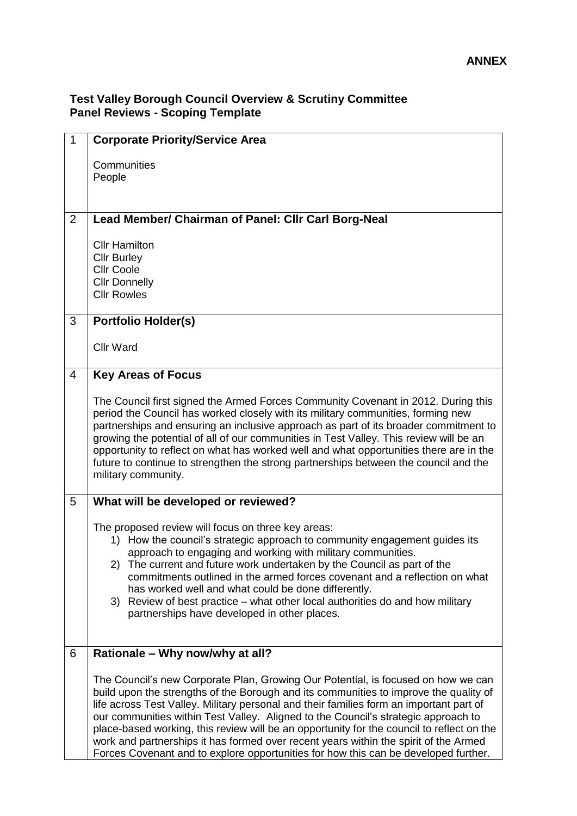## **Test Valley Borough Council Overview & Scrutiny Committee Panel Reviews - Scoping Template**

| $\mathbf{1}$   | <b>Corporate Priority/Service Area</b>                                                                                                                                                                                                                                                                                                                                                                                                                                                                                                                                                                                                  |
|----------------|-----------------------------------------------------------------------------------------------------------------------------------------------------------------------------------------------------------------------------------------------------------------------------------------------------------------------------------------------------------------------------------------------------------------------------------------------------------------------------------------------------------------------------------------------------------------------------------------------------------------------------------------|
|                | Communities                                                                                                                                                                                                                                                                                                                                                                                                                                                                                                                                                                                                                             |
|                | People                                                                                                                                                                                                                                                                                                                                                                                                                                                                                                                                                                                                                                  |
| 2              | Lead Member/ Chairman of Panel: Cllr Carl Borg-Neal                                                                                                                                                                                                                                                                                                                                                                                                                                                                                                                                                                                     |
|                | <b>Cllr Hamilton</b>                                                                                                                                                                                                                                                                                                                                                                                                                                                                                                                                                                                                                    |
|                | <b>Cllr Burley</b><br><b>Cllr Coole</b>                                                                                                                                                                                                                                                                                                                                                                                                                                                                                                                                                                                                 |
|                | <b>Cllr Donnelly</b><br><b>Cllr Rowles</b>                                                                                                                                                                                                                                                                                                                                                                                                                                                                                                                                                                                              |
|                |                                                                                                                                                                                                                                                                                                                                                                                                                                                                                                                                                                                                                                         |
| 3              | <b>Portfolio Holder(s)</b>                                                                                                                                                                                                                                                                                                                                                                                                                                                                                                                                                                                                              |
|                | <b>Cllr Ward</b>                                                                                                                                                                                                                                                                                                                                                                                                                                                                                                                                                                                                                        |
| $\overline{4}$ | <b>Key Areas of Focus</b>                                                                                                                                                                                                                                                                                                                                                                                                                                                                                                                                                                                                               |
|                | The Council first signed the Armed Forces Community Covenant in 2012. During this<br>period the Council has worked closely with its military communities, forming new<br>partnerships and ensuring an inclusive approach as part of its broader commitment to<br>growing the potential of all of our communities in Test Valley. This review will be an<br>opportunity to reflect on what has worked well and what opportunities there are in the<br>future to continue to strengthen the strong partnerships between the council and the<br>military community.                                                                        |
| 5              | What will be developed or reviewed?                                                                                                                                                                                                                                                                                                                                                                                                                                                                                                                                                                                                     |
|                | The proposed review will focus on three key areas:<br>1) How the council's strategic approach to community engagement guides its<br>approach to engaging and working with military communities.<br>2) The current and future work undertaken by the Council as part of the<br>commitments outlined in the armed forces covenant and a reflection on what<br>has worked well and what could be done differently.<br>3) Review of best practice – what other local authorities do and how military<br>partnerships have developed in other places.                                                                                        |
| 6              | Rationale - Why now/why at all?                                                                                                                                                                                                                                                                                                                                                                                                                                                                                                                                                                                                         |
|                | The Council's new Corporate Plan, Growing Our Potential, is focused on how we can<br>build upon the strengths of the Borough and its communities to improve the quality of<br>life across Test Valley. Military personal and their families form an important part of<br>our communities within Test Valley. Aligned to the Council's strategic approach to<br>place-based working, this review will be an opportunity for the council to reflect on the<br>work and partnerships it has formed over recent years within the spirit of the Armed<br>Forces Covenant and to explore opportunities for how this can be developed further. |